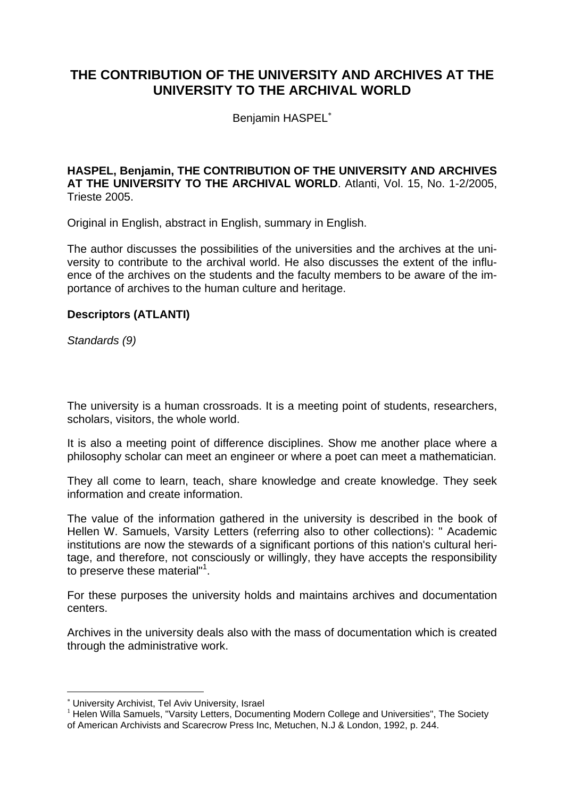# **THE CONTRIBUTION OF THE UNIVERSITY AND ARCHIVES AT THE UNIVERSITY TO THE ARCHIVAL WORLD**

Benjamin HASPEL<sup>\*</sup>

#### **HASPEL, Benjamin, THE CONTRIBUTION OF THE UNIVERSITY AND ARCHIVES AT THE UNIVERSITY TO THE ARCHIVAL WORLD**. Atlanti, Vol. 15, No. 1-2/2005, Trieste 2005.

Original in English, abstract in English, summary in English.

The author discusses the possibilities of the universities and the archives at the university to contribute to the archival world. He also discusses the extent of the influence of the archives on the students and the faculty members to be aware of the importance of archives to the human culture and heritage.

## **Descriptors (ATLANTI)**

*Standards (9)*

The university is a human crossroads. It is a meeting point of students, researchers, scholars, visitors, the whole world.

It is also a meeting point of difference disciplines. Show me another place where a philosophy scholar can meet an engineer or where a poet can meet a mathematician.

They all come to learn, teach, share knowledge and create knowledge. They seek information and create information.

The value of the information gathered in the university is described in the book of Hellen W. Samuels, Varsity Letters (referring also to other collections): " Academic institutions are now the stewards of a significant portions of this nation's cultural heritage, and therefore, not consciously or willingly, they have accepts the responsibility to preserve these material"<sup>1</sup>.

For these purposes the university holds and maintains archives and documentation centers.

Archives in the university deals also with the mass of documentation which is created through the administrative work.

 $\overline{a}$ 

<sup>\*</sup> University Archivist, Tel Aviv University, Israel<br><sup>1</sup> Helen Willa Samuels, "Varsity Letters, Documenting Modern College and Universities", The Society of American Archivists and Scarecrow Press Inc, Metuchen, N.J & London, 1992, p. 244.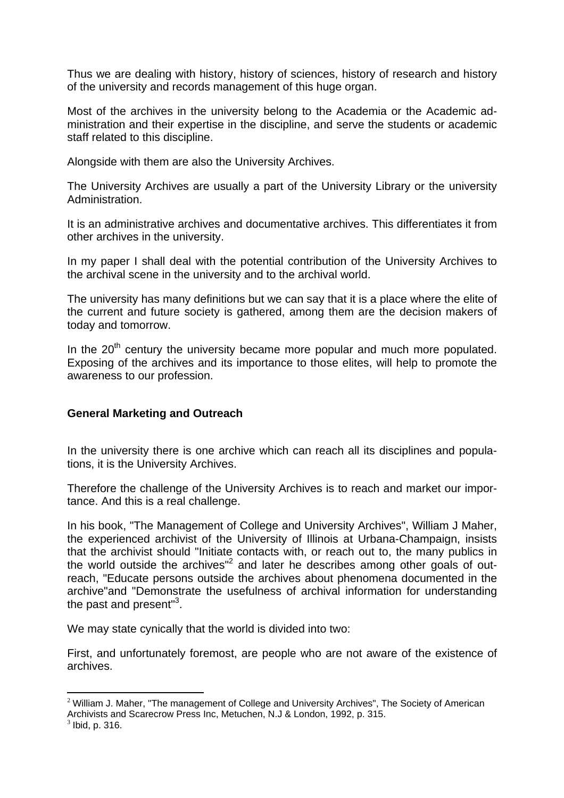Thus we are dealing with history, history of sciences, history of research and history of the university and records management of this huge organ.

Most of the archives in the university belong to the Academia or the Academic administration and their expertise in the discipline, and serve the students or academic staff related to this discipline.

Alongside with them are also the University Archives.

The University Archives are usually a part of the University Library or the university Administration.

It is an administrative archives and documentative archives. This differentiates it from other archives in the university.

In my paper I shall deal with the potential contribution of the University Archives to the archival scene in the university and to the archival world.

The university has many definitions but we can say that it is a place where the elite of the current and future society is gathered, among them are the decision makers of today and tomorrow.

In the  $20<sup>th</sup>$  century the university became more popular and much more populated. Exposing of the archives and its importance to those elites, will help to promote the awareness to our profession.

## **General Marketing and Outreach**

In the university there is one archive which can reach all its disciplines and populations, it is the University Archives.

Therefore the challenge of the University Archives is to reach and market our importance. And this is a real challenge.

In his book, "The Management of College and University Archives", William J Maher, the experienced archivist of the University of Illinois at Urbana-Champaign, insists that the archivist should "Initiate contacts with, or reach out to, the many publics in the world outside the archives"<sup>2</sup> and later he describes among other goals of outreach, "Educate persons outside the archives about phenomena documented in the archive"and "Demonstrate the usefulness of archival information for understanding the past and present"<sup>3</sup>.

We may state cynically that the world is divided into two:

First, and unfortunately foremost, are people who are not aware of the existence of archives.

 $\overline{a}$ 

 $2$  William J. Maher, "The management of College and University Archives", The Society of American Archivists and Scarecrow Press Inc, Metuchen, N.J & London, 1992, p. 315.<br><sup>3</sup> Ibid, p. 316.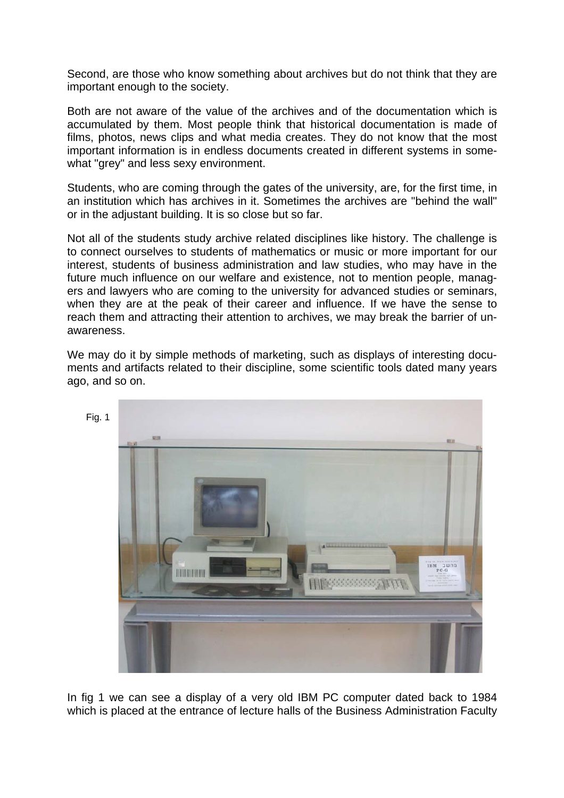Second, are those who know something about archives but do not think that they are important enough to the society.

Both are not aware of the value of the archives and of the documentation which is accumulated by them. Most people think that historical documentation is made of films, photos, news clips and what media creates. They do not know that the most important information is in endless documents created in different systems in somewhat "grey" and less sexy environment.

Students, who are coming through the gates of the university, are, for the first time, in an institution which has archives in it. Sometimes the archives are "behind the wall" or in the adjustant building. It is so close but so far.

Not all of the students study archive related disciplines like history. The challenge is to connect ourselves to students of mathematics or music or more important for our interest, students of business administration and law studies, who may have in the future much influence on our welfare and existence, not to mention people, managers and lawyers who are coming to the university for advanced studies or seminars, when they are at the peak of their career and influence. If we have the sense to reach them and attracting their attention to archives, we may break the barrier of unawareness.

We may do it by simple methods of marketing, such as displays of interesting documents and artifacts related to their discipline, some scientific tools dated many years ago, and so on.



In fig 1 we can see a display of a very old IBM PC computer dated back to 1984 which is placed at the entrance of lecture halls of the Business Administration Faculty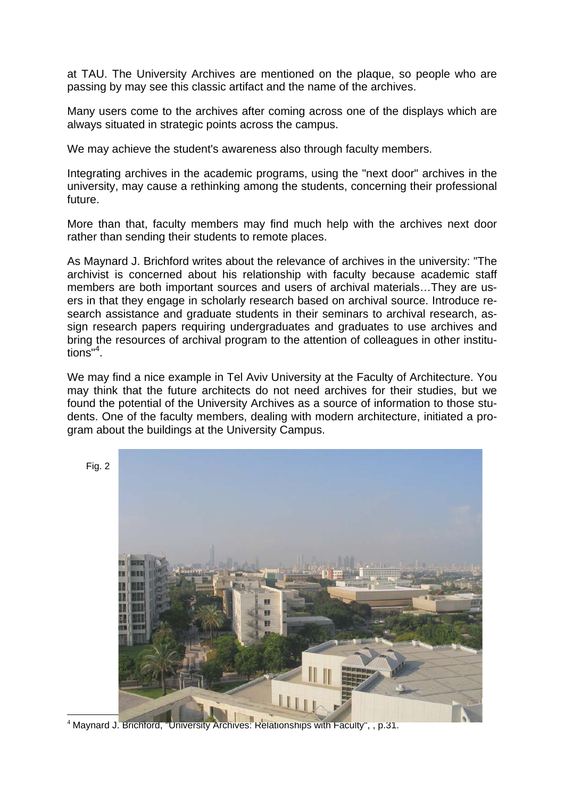at TAU. The University Archives are mentioned on the plaque, so people who are passing by may see this classic artifact and the name of the archives.

Many users come to the archives after coming across one of the displays which are always situated in strategic points across the campus.

We may achieve the student's awareness also through faculty members.

Integrating archives in the academic programs, using the "next door" archives in the university, may cause a rethinking among the students, concerning their professional future.

More than that, faculty members may find much help with the archives next door rather than sending their students to remote places.

As Maynard J. Brichford writes about the relevance of archives in the university: "The archivist is concerned about his relationship with faculty because academic staff members are both important sources and users of archival materials…They are users in that they engage in scholarly research based on archival source. Introduce research assistance and graduate students in their seminars to archival research, assign research papers requiring undergraduates and graduates to use archives and bring the resources of archival program to the attention of colleagues in other institutions"<sup>4</sup> .

We may find a nice example in Tel Aviv University at the Faculty of Architecture. You may think that the future architects do not need archives for their studies, but we found the potential of the University Archives as a source of information to those students. One of the faculty members, dealing with modern architecture, initiated a program about the buildings at the University Campus.



<sup>4</sup> Maynard J. Brichford, "University Archives: Relationships with Faculty", , p.31.

 $\overline{a}$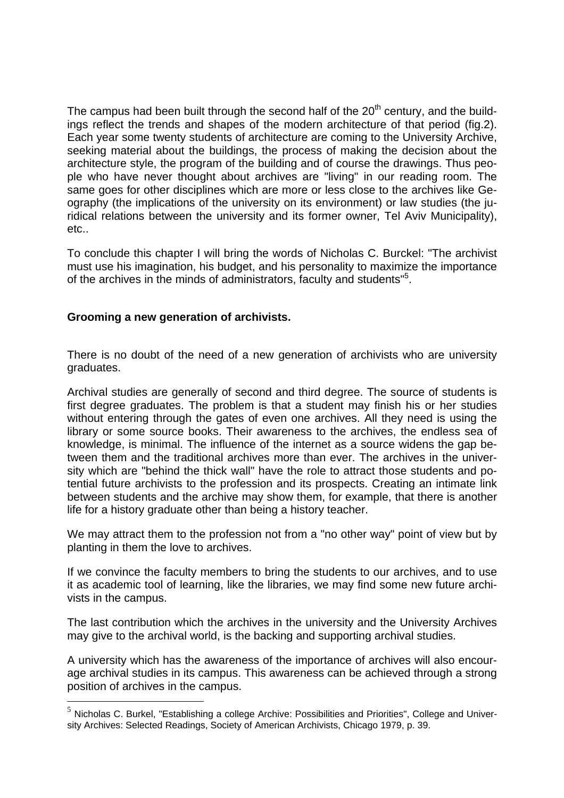The campus had been built through the second half of the  $20<sup>th</sup>$  century, and the buildings reflect the trends and shapes of the modern architecture of that period (fig.2). Each year some twenty students of architecture are coming to the University Archive, seeking material about the buildings, the process of making the decision about the architecture style, the program of the building and of course the drawings. Thus people who have never thought about archives are "living" in our reading room. The same goes for other disciplines which are more or less close to the archives like Geography (the implications of the university on its environment) or law studies (the juridical relations between the university and its former owner, Tel Aviv Municipality), etc..

To conclude this chapter I will bring the words of Nicholas C. Burckel: "The archivist must use his imagination, his budget, and his personality to maximize the importance of the archives in the minds of administrators, faculty and students"<sup>5</sup>.

## **Grooming a new generation of archivists.**

 $\overline{a}$ 

There is no doubt of the need of a new generation of archivists who are university graduates.

Archival studies are generally of second and third degree. The source of students is first degree graduates. The problem is that a student may finish his or her studies without entering through the gates of even one archives. All they need is using the library or some source books. Their awareness to the archives, the endless sea of knowledge, is minimal. The influence of the internet as a source widens the gap between them and the traditional archives more than ever. The archives in the university which are "behind the thick wall" have the role to attract those students and potential future archivists to the profession and its prospects. Creating an intimate link between students and the archive may show them, for example, that there is another life for a history graduate other than being a history teacher.

We may attract them to the profession not from a "no other way" point of view but by planting in them the love to archives.

If we convince the faculty members to bring the students to our archives, and to use it as academic tool of learning, like the libraries, we may find some new future archivists in the campus.

The last contribution which the archives in the university and the University Archives may give to the archival world, is the backing and supporting archival studies.

A university which has the awareness of the importance of archives will also encourage archival studies in its campus. This awareness can be achieved through a strong position of archives in the campus.

 $5$  Nicholas C. Burkel, "Establishing a college Archive: Possibilities and Priorities", College and University Archives: Selected Readings, Society of American Archivists, Chicago 1979, p. 39.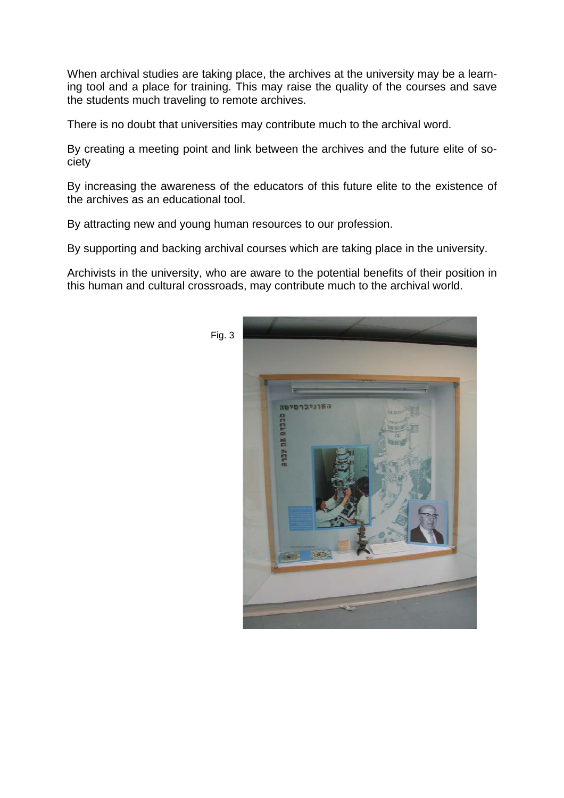When archival studies are taking place, the archives at the university may be a learning tool and a place for training. This may raise the quality of the courses and save the students much traveling to remote archives.

There is no doubt that universities may contribute much to the archival word.

By creating a meeting point and link between the archives and the future elite of society

By increasing the awareness of the educators of this future elite to the existence of the archives as an educational tool.

By attracting new and young human resources to our profession.

By supporting and backing archival courses which are taking place in the university.

Archivists in the university, who are aware to the potential benefits of their position in this human and cultural crossroads, may contribute much to the archival world.